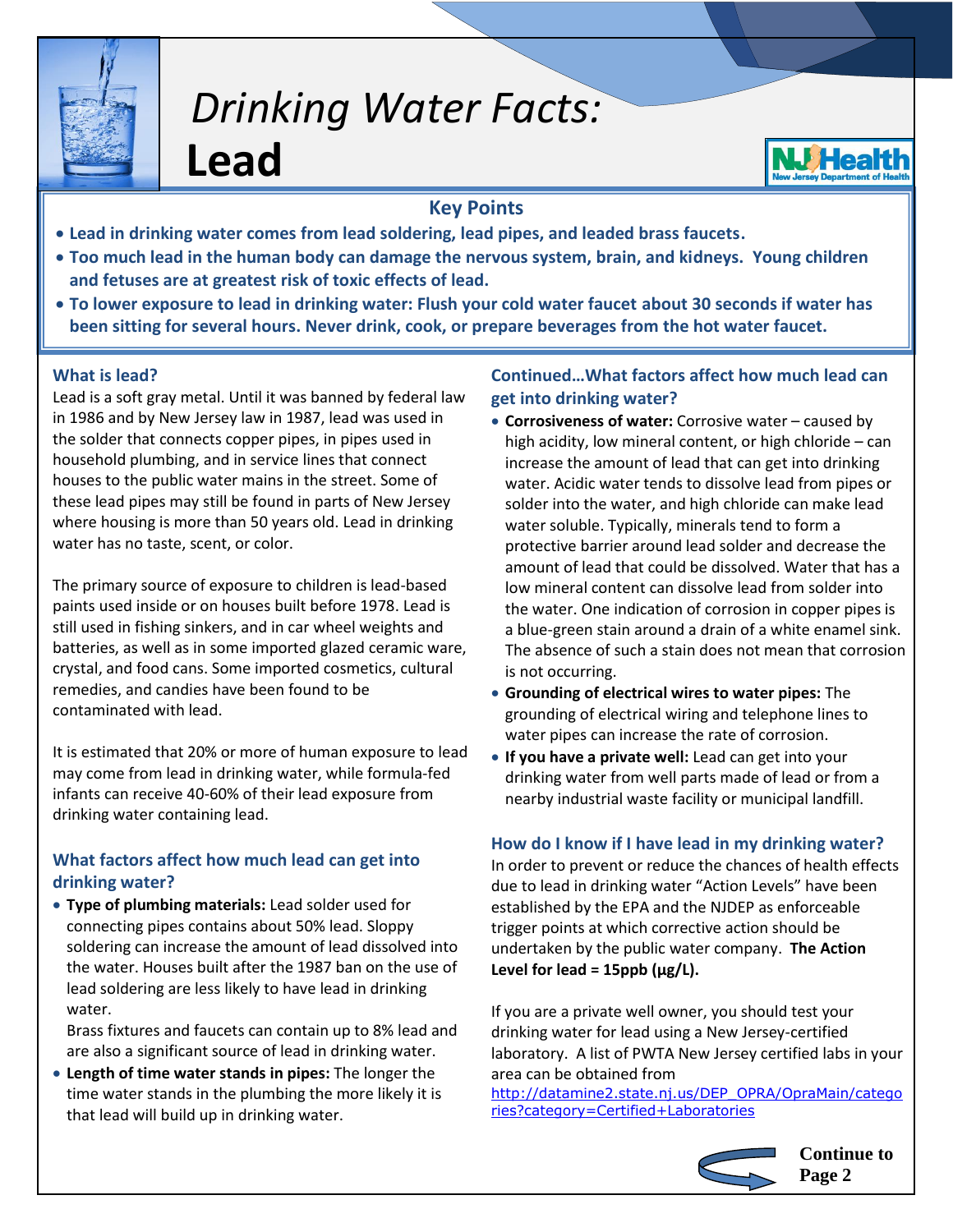

# *Drinking Water Facts:*

**Lead**

## **Key Points**

- **Lead in drinking water comes from lead soldering, lead pipes, and leaded brass faucets.**
- **Too much lead in the human body can damage the nervous system, brain, and kidneys. Young children and fetuses are at greatest risk of toxic effects of lead.**
- **To lower exposure to lead in drinking water: Flush your cold water faucet about 30 seconds if water has been sitting for several hours. Never drink, cook, or prepare beverages from the hot water faucet.**

### **What is lead?**

Lead is a soft gray metal. Until it was banned by federal law in 1986 and by New Jersey law in 1987, lead was used in the solder that connects copper pipes, in pipes used in household plumbing, and in service lines that connect houses to the public water mains in the street. Some of these lead pipes may still be found in parts of New Jersey where housing is more than 50 years old. Lead in drinking water has no taste, scent, or color.

The primary source of exposure to children is lead-based paints used inside or on houses built before 1978. Lead is still used in fishing sinkers, and in car wheel weights and batteries, as well as in some imported glazed ceramic ware, crystal, and food cans. Some imported cosmetics, cultural remedies, and candies have been found to be contaminated with lead.

It is estimated that 20% or more of human exposure to lead may come from lead in drinking water, while formula-fed infants can receive 40-60% of their lead exposure from drinking water containing lead.

### **What factors affect how much lead can get into drinking water?**

 **Type of plumbing materials:** Lead solder used for connecting pipes contains about 50% lead. Sloppy soldering can increase the amount of lead dissolved into the water. Houses built after the 1987 ban on the use of lead soldering are less likely to have lead in drinking water.

Brass fixtures and faucets can contain up to 8% lead and are also a significant source of lead in drinking water.

 **Length of time water stands in pipes:** The longer the time water stands in the plumbing the more likely it is that lead will build up in drinking water.

### **Continued…What factors affect how much lead can get into drinking water?**

- **Corrosiveness of water:** Corrosive water caused by high acidity, low mineral content, or high chloride – can increase the amount of lead that can get into drinking water. Acidic water tends to dissolve lead from pipes or solder into the water, and high chloride can make lead water soluble. Typically, minerals tend to form a protective barrier around lead solder and decrease the amount of lead that could be dissolved. Water that has a low mineral content can dissolve lead from solder into the water. One indication of corrosion in copper pipes is a blue-green stain around a drain of a white enamel sink. The absence of such a stain does not mean that corrosion is not occurring.
- **Grounding of electrical wires to water pipes:** The grounding of electrical wiring and telephone lines to water pipes can increase the rate of corrosion.
- **If you have a private well:** Lead can get into your drinking water from well parts made of lead or from a nearby industrial waste facility or municipal landfill.

### **How do I know if I have lead in my drinking water?**

In order to prevent or reduce the chances of health effects due to lead in drinking water "Action Levels" have been established by the EPA and the NJDEP as enforceable trigger points at which corrective action should be undertaken by the public water company. **The Action**  Level for lead = 15ppb (µg/L).

If you are a private well owner, you should test your drinking water for lead using a New Jersey-certified laboratory. A list of PWTA New Jersey certified labs in your area can be obtained from

[http://datamine2.state.nj.us/DEP\\_OPRA/OpraMain/catego](http://datamine2.state.nj.us/DEP_OPRA/OpraMain/categories?category=Certified+Laboratories) [ries?category=Certified+Laboratories](http://datamine2.state.nj.us/DEP_OPRA/OpraMain/categories?category=Certified+Laboratories)



**Continue to Page 2**